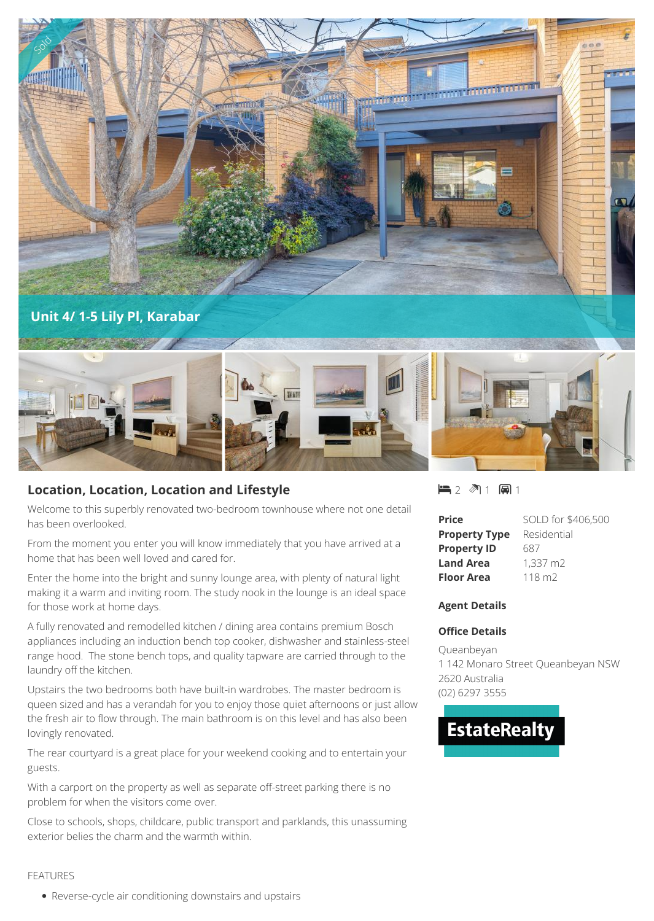

# **Location, Location, Location and Lifestyle**

Welcome to this superbly renovated two-bedroom townhouse where not one detail has been overlooked.

From the moment you enter you will know immediately that you have arrived at a home that has been well loved and cared for.

Enter the home into the bright and sunny lounge area, with plenty of natural light making it a warm and inviting room. The study nook in the lounge is an ideal space for those work at home days.

A fully renovated and remodelled kitchen / dining area contains premium Bosch appliances including an induction bench top cooker, dishwasher and stainless-steel range hood. The stone bench tops, and quality tapware are carried through to the laundry off the kitchen.

Upstairs the two bedrooms both have built-in wardrobes. The master bedroom is queen sized and has a verandah for you to enjoy those quiet afternoons or just allow the fresh air to flow through. The main bathroom is on this level and has also been lovingly renovated.

The rear courtyard is a great place for your weekend cooking and to entertain your guests.

With a carport on the property as well as separate off-street parking there is no problem for when the visitors come over.

Close to schools, shops, childcare, public transport and parklands, this unassuming exterior belies the charm and the warmth within.

2 1 1

| <b>Price</b>         | SOLD for \$406,500 |
|----------------------|--------------------|
| <b>Property Type</b> | Residential        |
| <b>Property ID</b>   | 687                |
| <b>Land Area</b>     | 1.337 m2           |
| Floor Area           | 118 m2             |

## **Agent Details**

## **Office Details**

Queanbeyan 1 142 Monaro Street Queanbeyan NSW 2620 Australia (02) 6297 3555

# **EstateRealty**

### FEATURES

Reverse-cycle air conditioning downstairs and upstairs